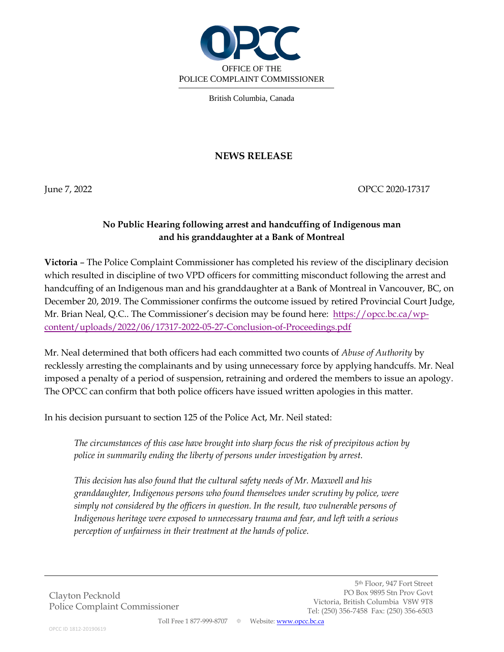

British Columbia, Canada

## **NEWS RELEASE**

June 7, 2022 **OPCC 2020-17317** 

## **No Public Hearing following arrest and handcuffing of Indigenous man and his granddaughter at a Bank of Montreal**

**Victoria** – The Police Complaint Commissioner has completed his review of the disciplinary decision which resulted in discipline of two VPD officers for committing misconduct following the arrest and handcuffing of an Indigenous man and his granddaughter at a Bank of Montreal in Vancouver, BC, on December 20, 2019. The Commissioner confirms the outcome issued by retired Provincial Court Judge, Mr. Brian Neal, Q.C.. The Commissioner's decision may be found here: [https://opcc.bc.ca/wp](https://opcc.bc.ca/wp-content/uploads/2022/06/17317-2022-05-27-Conclusion-of-Proceedings.pdf)[content/uploads/2022/06/17317-2022-05-27-Conclusion-of-Proceedings.pdf](https://opcc.bc.ca/wp-content/uploads/2022/06/17317-2022-05-27-Conclusion-of-Proceedings.pdf)

Mr. Neal determined that both officers had each committed two counts of *Abuse of Authority* by recklessly arresting the complainants and by using unnecessary force by applying handcuffs. Mr. Neal imposed a penalty of a period of suspension, retraining and ordered the members to issue an apology. The OPCC can confirm that both police officers have issued written apologies in this matter.

In his decision pursuant to section 125 of the Police Act, Mr. Neil stated:

*The circumstances of this case have brought into sharp focus the risk of precipitous action by police in summarily ending the liberty of persons under investigation by arrest.*

*This decision has also found that the cultural safety needs of Mr. Maxwell and his granddaughter, Indigenous persons who found themselves under scrutiny by police, were simply not considered by the officers in question. In the result, two vulnerable persons of Indigenous heritage were exposed to unnecessary trauma and fear, and left with a serious perception of unfairness in their treatment at the hands of police.*

Clayton Pecknold Police Complaint Commissioner